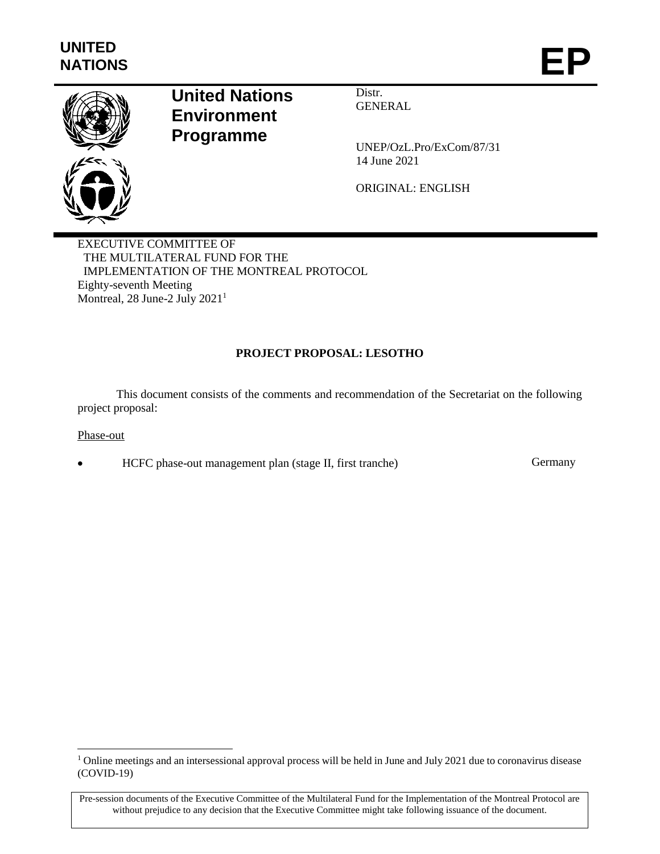

# **United Nations Environment Programme**

Distr. **GENERAL** 

UNEP/OzL.Pro/ExCom/87/31 14 June 2021

ORIGINAL: ENGLISH

EXECUTIVE COMMITTEE OF THE MULTILATERAL FUND FOR THE IMPLEMENTATION OF THE MONTREAL PROTOCOL Eighty-seventh Meeting Montreal, 28 June-2 July 2021<sup>1</sup>

# **PROJECT PROPOSAL: LESOTHO**

This document consists of the comments and recommendation of the Secretariat on the following project proposal:

### Phase-out

l

HCFC phase-out management plan (stage II, first tranche) Germany

<sup>&</sup>lt;sup>1</sup> Online meetings and an intersessional approval process will be held in June and July 2021 due to coronavirus disease (COVID-19)

Pre-session documents of the Executive Committee of the Multilateral Fund for the Implementation of the Montreal Protocol are without prejudice to any decision that the Executive Committee might take following issuance of the document.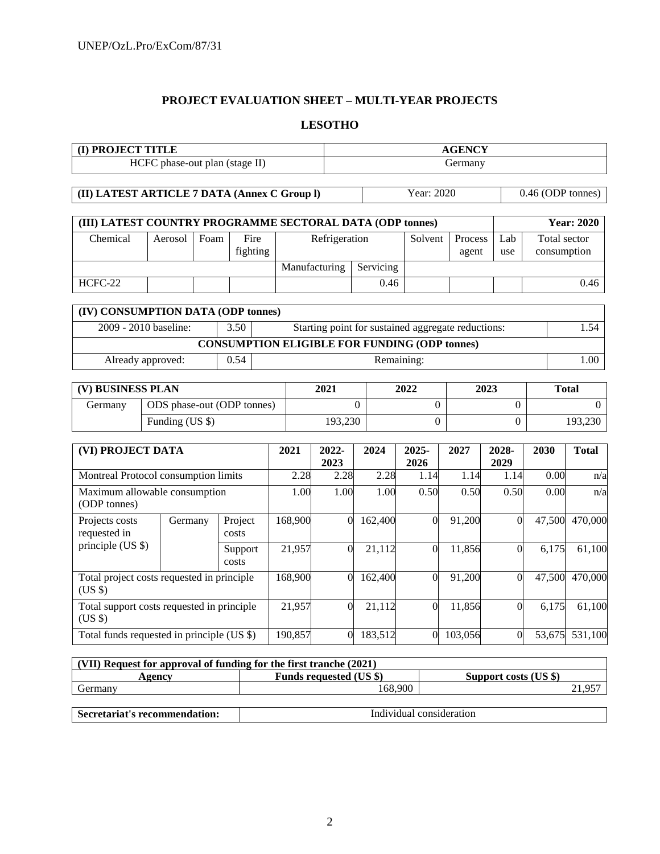# **PROJECT EVALUATION SHEET – MULTI-YEAR PROJECTS**

### **LESOTHO**

| (I) PROJECT TITLE                                         |                   |         |                                                      |                | <b>AGENCY</b>     |                                                    |               |                |               |                   |                   |  |
|-----------------------------------------------------------|-------------------|---------|------------------------------------------------------|----------------|-------------------|----------------------------------------------------|---------------|----------------|---------------|-------------------|-------------------|--|
|                                                           |                   |         | HCFC phase-out plan (stage II)                       |                |                   |                                                    |               | Germany        |               |                   |                   |  |
|                                                           |                   |         |                                                      |                |                   |                                                    |               |                |               |                   |                   |  |
| (II) LATEST ARTICLE 7 DATA (Annex C Group I)              |                   |         |                                                      |                |                   |                                                    | Year: 2020    |                |               | 0.46 (ODP tonnes) |                   |  |
| (III) LATEST COUNTRY PROGRAMME SECTORAL DATA (ODP tonnes) |                   |         |                                                      |                |                   |                                                    |               |                |               |                   | <b>Year: 2020</b> |  |
| Chemical                                                  | Aerosol           | Foam    | Fire                                                 |                | Refrigeration     |                                                    | Solvent       | Process        | Lab           | Total sector      |                   |  |
|                                                           |                   |         | fighting                                             |                |                   |                                                    |               | agent          | use           | consumption       |                   |  |
|                                                           |                   |         |                                                      |                | Manufacturing     | Servicing                                          |               |                |               |                   |                   |  |
| HCFC-22                                                   |                   |         |                                                      |                |                   | 0.46                                               |               |                |               |                   | 0.46              |  |
| (IV) CONSUMPTION DATA (ODP tonnes)                        |                   |         |                                                      |                |                   |                                                    |               |                |               |                   |                   |  |
| 2009 - 2010 baseline:<br>3.50                             |                   |         |                                                      |                |                   | Starting point for sustained aggregate reductions: |               |                |               |                   | 1.54              |  |
|                                                           |                   |         | <b>CONSUMPTION ELIGIBLE FOR FUNDING (ODP tonnes)</b> |                |                   |                                                    |               |                |               |                   |                   |  |
|                                                           | Already approved: |         | 0.54                                                 |                |                   |                                                    | Remaining:    |                |               |                   | 1.00              |  |
| (V) BUSINESS PLAN                                         |                   |         |                                                      |                | 2021              |                                                    | 2022          |                | 2023          |                   | <b>Total</b>      |  |
| Germany                                                   |                   |         | ODS phase-out (ODP tonnes)                           |                | $\Omega$          |                                                    | $\mathbf{0}$  |                |               | $\boldsymbol{0}$  |                   |  |
|                                                           | Funding (US \$)   |         |                                                      |                | 193,230           |                                                    |               | $\overline{0}$ |               |                   | 193,230           |  |
|                                                           |                   |         |                                                      |                |                   |                                                    |               |                |               |                   |                   |  |
| (VI) PROJECT DATA                                         |                   |         |                                                      | 2021           | 2022-<br>2023     | 2024                                               | 2025-<br>2026 | 2027           | 2028-<br>2029 | 2030              | <b>Total</b>      |  |
| Montreal Protocol consumption limits                      |                   |         |                                                      | 2.28           | 2.28              | 2.28                                               | 1.14          | 1.14           | 1.14          | 0.00              | n/a               |  |
| Maximum allowable consumption<br>(ODP tonnes)             |                   |         |                                                      | 1.00           | $\overline{1.00}$ | 1.00                                               | 0.50          | 0.50           | 0.50          | 0.00              | n/a               |  |
| Projects costs<br>requested in                            |                   | Germany | Project<br>costs                                     | 168,900        | $\theta$          | 162,400                                            | $\Omega$      | 91,200         | $\theta$      | 47,500            | 470,000           |  |
| principle (US \$)                                         |                   |         | Support<br>costs                                     | 21,957         | $\theta$          | 21,112                                             | $\theta$      | 11,856         | $\mathbf{0}$  | 6,175             | 61,100            |  |
| Total project costs requested in principle<br>$(US \$     |                   |         | 168,900                                              | $\overline{0}$ | 162,400           | $\Omega$                                           | 91,200        | $\mathbf{0}$   | 47,500        | 470,000           |                   |  |
| Total support costs requested in principle<br>(US \$)     |                   |         | 21,957                                               | $\mathbf{0}$   | 21,112            | $\theta$                                           | 11,856        | $\mathbf{0}$   | 6,175         | 61,100            |                   |  |
| Total funds requested in principle (US \$)                |                   |         |                                                      | 190,857        | $\mathbf{0}$      | 183,512                                            | $\Omega$      | 103,056        | $\theta$      | 53,675            | 531,100           |  |

| (VII) Request for approval of funding for the first tranche (2021) |                                |                       |  |  |  |  |  |  |
|--------------------------------------------------------------------|--------------------------------|-----------------------|--|--|--|--|--|--|
| Agency                                                             | <b>Funds requested (US \$)</b> | Support costs (US \$) |  |  |  |  |  |  |
| Germany                                                            | 168.900                        | 1.957                 |  |  |  |  |  |  |
|                                                                    |                                |                       |  |  |  |  |  |  |

| Coomatomiat's             | $\alpha$ notion        |
|---------------------------|------------------------|
| etariat's recommendation: | In                     |
| . э.                      | uvidual consideration. |
| .                         | .                      |
|                           |                        |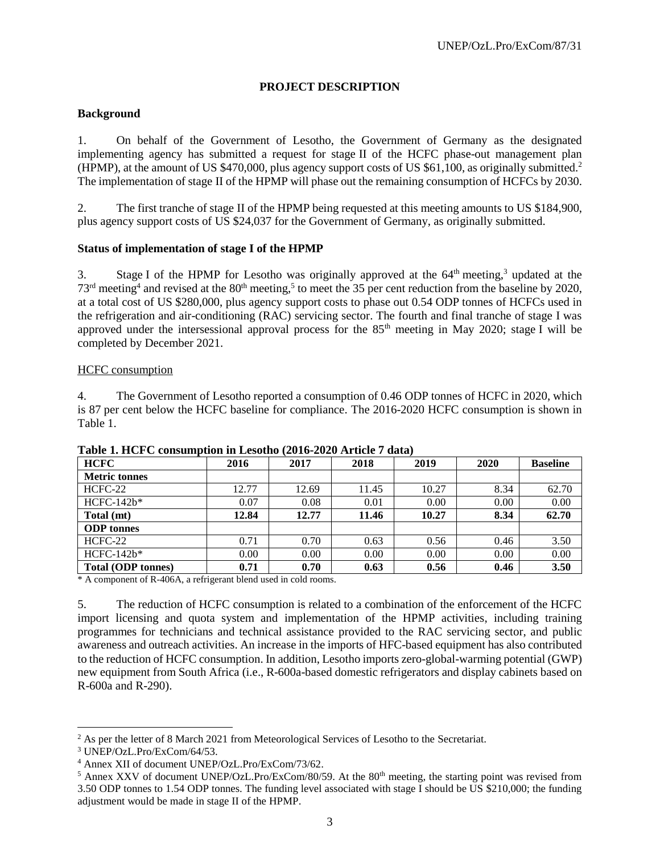### **PROJECT DESCRIPTION**

### **Background**

1. On behalf of the Government of Lesotho, the Government of Germany as the designated implementing agency has submitted a request for stage II of the HCFC phase-out management plan (HPMP), at the amount of US \$470,000, plus agency support costs of US \$61,100, as originally submitted.<sup>2</sup> The implementation of stage II of the HPMP will phase out the remaining consumption of HCFCs by 2030.

2. The first tranche of stage II of the HPMP being requested at this meeting amounts to US \$184,900, plus agency support costs of US \$24,037 for the Government of Germany, as originally submitted.

### **Status of implementation of stage I of the HPMP**

3. Stage I of the HPMP for Lesotho was originally approved at the  $64<sup>th</sup>$  meeting,<sup>3</sup> updated at the  $73<sup>rd</sup>$  meeting<sup>4</sup> and revised at the 80<sup>th</sup> meeting,<sup>5</sup> to meet the 35 per cent reduction from the baseline by 2020, at a total cost of US \$280,000, plus agency support costs to phase out 0.54 ODP tonnes of HCFCs used in the refrigeration and air-conditioning (RAC) servicing sector. The fourth and final tranche of stage I was approved under the intersessional approval process for the  $85<sup>th</sup>$  meeting in May 2020; stage I will be completed by December 2021.

### HCFC consumption

4. The Government of Lesotho reported a consumption of 0.46 ODP tonnes of HCFC in 2020, which is 87 per cent below the HCFC baseline for compliance. The 2016-2020 HCFC consumption is shown in Table 1.

| <b>HCFC</b>               | 2016  | 2017  | 2018  | 2019  | 2020 | <b>Baseline</b> |
|---------------------------|-------|-------|-------|-------|------|-----------------|
| <b>Metric tonnes</b>      |       |       |       |       |      |                 |
| $HCFC-22$                 | 12.77 | 12.69 | 11.45 | 10.27 | 8.34 | 62.70           |
| HCFC-142b*                | 0.07  | 0.08  | 0.01  | 0.00  | 0.00 | 0.00            |
| Total (mt)                | 12.84 | 12.77 | 11.46 | 10.27 | 8.34 | 62.70           |
| <b>ODP</b> tonnes         |       |       |       |       |      |                 |
| $HCFC-22$                 | 0.71  | 0.70  | 0.63  | 0.56  | 0.46 | 3.50            |
| $HCFC-142b*$              | 0.00  | 0.00  | 0.00  | 0.00  | 0.00 | 0.00            |
| <b>Total (ODP tonnes)</b> | 0.71  | 0.70  | 0.63  | 0.56  | 0.46 | 3.50            |

### **Table 1. HCFC consumption in Lesotho (2016-2020 Article 7 data)**

\* A component of R-406A, a refrigerant blend used in cold rooms.

5. The reduction of HCFC consumption is related to a combination of the enforcement of the HCFC import licensing and quota system and implementation of the HPMP activities, including training programmes for technicians and technical assistance provided to the RAC servicing sector, and public awareness and outreach activities. An increase in the imports of HFC-based equipment has also contributed to the reduction of HCFC consumption. In addition, Lesotho imports zero-global-warming potential (GWP) new equipment from South Africa (i.e., R-600a-based domestic refrigerators and display cabinets based on R-600a and R-290).

l

<sup>&</sup>lt;sup>2</sup> As per the letter of 8 March 2021 from Meteorological Services of Lesotho to the Secretariat.

<sup>3</sup> UNEP/OzL.Pro/ExCom/64/53.

<sup>4</sup> Annex XII of document UNEP/OzL.Pro/ExCom/73/62.

 $5$  Annex XXV of document UNEP/OzL.Pro/ExCom/80/59. At the  $80<sup>th</sup>$  meeting, the starting point was revised from 3.50 ODP tonnes to 1.54 ODP tonnes. The funding level associated with stage I should be US \$210,000; the funding adjustment would be made in stage II of the HPMP.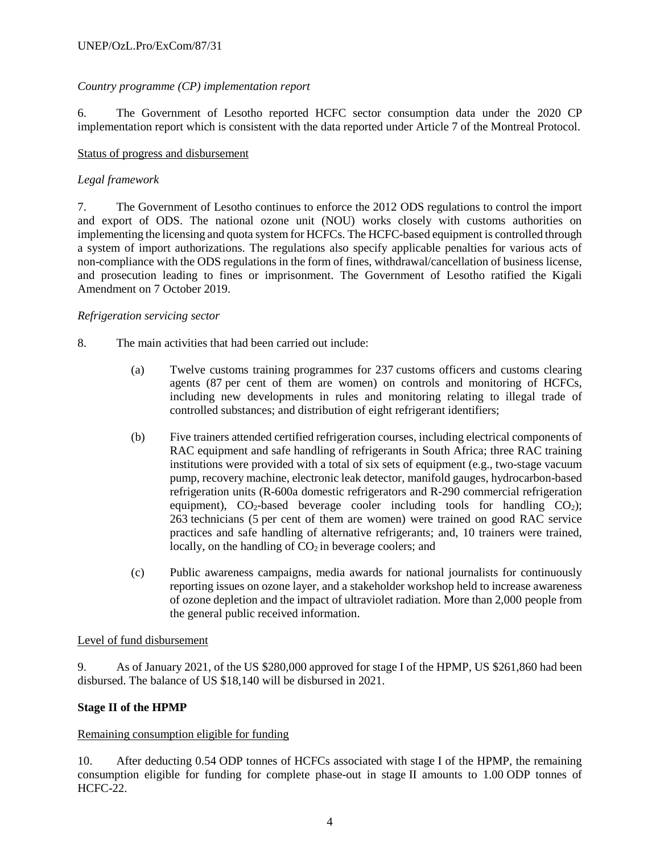### *Country programme (CP) implementation report*

6. The Government of Lesotho reported HCFC sector consumption data under the 2020 CP implementation report which is consistent with the data reported under Article 7 of the Montreal Protocol.

### Status of progress and disbursement

### *Legal framework*

7. The Government of Lesotho continues to enforce the 2012 ODS regulations to control the import and export of ODS. The national ozone unit (NOU) works closely with customs authorities on implementing the licensing and quota system for HCFCs. The HCFC-based equipment is controlled through a system of import authorizations. The regulations also specify applicable penalties for various acts of non-compliance with the ODS regulations in the form of fines, withdrawal/cancellation of business license, and prosecution leading to fines or imprisonment. The Government of Lesotho ratified the Kigali Amendment on 7 October 2019.

#### *Refrigeration servicing sector*

- 8. The main activities that had been carried out include:
	- (a) Twelve customs training programmes for 237 customs officers and customs clearing agents (87 per cent of them are women) on controls and monitoring of HCFCs, including new developments in rules and monitoring relating to illegal trade of controlled substances; and distribution of eight refrigerant identifiers;
	- (b) Five trainers attended certified refrigeration courses, including electrical components of RAC equipment and safe handling of refrigerants in South Africa; three RAC training institutions were provided with a total of six sets of equipment (e.g., two-stage vacuum pump, recovery machine, electronic leak detector, manifold gauges, hydrocarbon-based refrigeration units (R-600a domestic refrigerators and R-290 commercial refrigeration equipment),  $CO_2$ -based beverage cooler including tools for handling  $CO_2$ ); 263 technicians (5 per cent of them are women) were trained on good RAC service practices and safe handling of alternative refrigerants; and, 10 trainers were trained, locally, on the handling of  $CO<sub>2</sub>$  in beverage coolers; and
	- (c) Public awareness campaigns, media awards for national journalists for continuously reporting issues on ozone layer, and a stakeholder workshop held to increase awareness of ozone depletion and the impact of ultraviolet radiation. More than 2,000 people from the general public received information.

### Level of fund disbursement

9. As of January 2021, of the US \$280,000 approved for stage I of the HPMP, US \$261,860 had been disbursed. The balance of US \$18,140 will be disbursed in 2021.

### **Stage II of the HPMP**

### Remaining consumption eligible for funding

10. After deducting 0.54 ODP tonnes of HCFCs associated with stage I of the HPMP, the remaining consumption eligible for funding for complete phase-out in stage II amounts to 1.00 ODP tonnes of HCFC-22.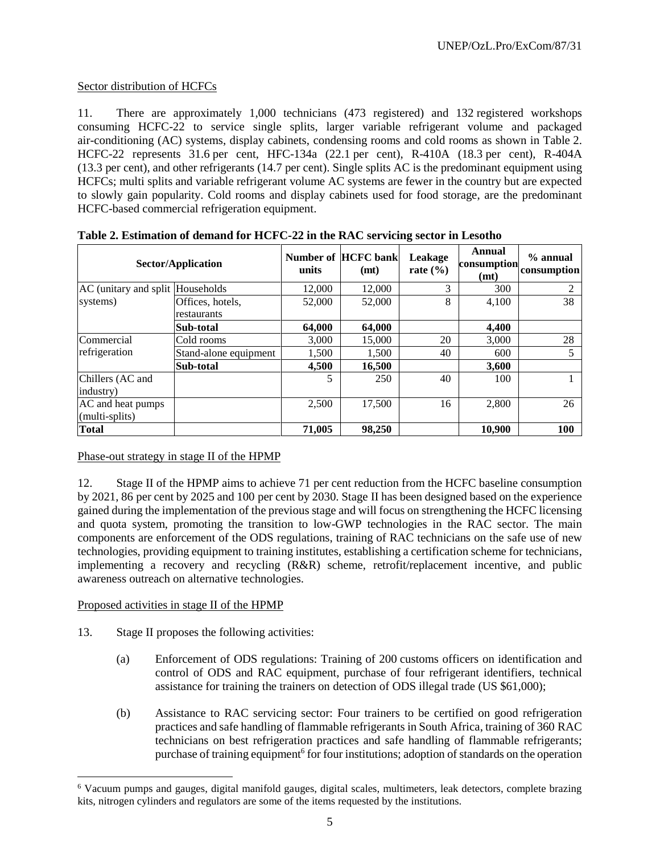### Sector distribution of HCFCs

11. There are approximately 1,000 technicians (473 registered) and 132 registered workshops consuming HCFC-22 to service single splits, larger variable refrigerant volume and packaged air-conditioning (AC) systems, display cabinets, condensing rooms and cold rooms as shown in Table 2. HCFC-22 represents 31.6 per cent, HFC-134a (22.1 per cent), R-410A (18.3 per cent), R-404A (13.3 per cent), and other refrigerants (14.7 per cent). Single splits AC is the predominant equipment using HCFCs; multi splits and variable refrigerant volume AC systems are fewer in the country but are expected to slowly gain popularity. Cold rooms and display cabinets used for food storage, are the predominant HCFC-based commercial refrigeration equipment.

|                                  | Sector/Application    | units  | Number of HCFC bank<br>(mt) | Leakage<br>rate $(\% )$ | Annual<br>consumption<br>(mt) | $%$ annual<br>consumption |
|----------------------------------|-----------------------|--------|-----------------------------|-------------------------|-------------------------------|---------------------------|
| AC (unitary and split Households |                       | 12,000 | 12,000                      | 3                       | 300                           | 2                         |
| systems)                         | Offices, hotels,      | 52,000 | 52,000                      | 8                       | 4,100                         | 38                        |
|                                  | restaurants           |        |                             |                         |                               |                           |
|                                  | Sub-total             | 64,000 | 64,000                      |                         | 4,400                         |                           |
| Commercial                       | Cold rooms            | 3,000  | 15,000                      | 20                      | 3,000                         | 28                        |
| refrigeration                    | Stand-alone equipment | 1,500  | 1,500                       | 40                      | 600                           | 5                         |
|                                  | Sub-total             | 4,500  | 16,500                      |                         | 3,600                         |                           |
| Chillers (AC and                 |                       | 5      | 250                         | 40                      | 100                           |                           |
| industry)                        |                       |        |                             |                         |                               |                           |
| AC and heat pumps                |                       | 2,500  | 17,500                      | 16                      | 2,800                         | 26                        |
| (multi-splits)                   |                       |        |                             |                         |                               |                           |
| <b>Total</b>                     |                       | 71,005 | 98,250                      |                         | 10,900                        | <b>100</b>                |

**Table 2. Estimation of demand for HCFC-22 in the RAC servicing sector in Lesotho**

### Phase-out strategy in stage II of the HPMP

12. Stage II of the HPMP aims to achieve 71 per cent reduction from the HCFC baseline consumption by 2021, 86 per cent by 2025 and 100 per cent by 2030. Stage II has been designed based on the experience gained during the implementation of the previous stage and will focus on strengthening the HCFC licensing and quota system, promoting the transition to low-GWP technologies in the RAC sector. The main components are enforcement of the ODS regulations, training of RAC technicians on the safe use of new technologies, providing equipment to training institutes, establishing a certification scheme for technicians, implementing a recovery and recycling (R&R) scheme, retrofit/replacement incentive, and public awareness outreach on alternative technologies.

### Proposed activities in stage II of the HPMP

 $\overline{a}$ 

- 13. Stage II proposes the following activities:
	- (a) Enforcement of ODS regulations: Training of 200 customs officers on identification and control of ODS and RAC equipment, purchase of four refrigerant identifiers, technical assistance for training the trainers on detection of ODS illegal trade (US \$61,000);
	- (b) Assistance to RAC servicing sector: Four trainers to be certified on good refrigeration practices and safe handling of flammable refrigerants in South Africa, training of 360 RAC technicians on best refrigeration practices and safe handling of flammable refrigerants; purchase of training equipment<sup>6</sup> for four institutions; adoption of standards on the operation

<sup>6</sup> Vacuum pumps and gauges, digital manifold gauges, digital scales, multimeters, leak detectors, complete brazing kits, nitrogen cylinders and regulators are some of the items requested by the institutions.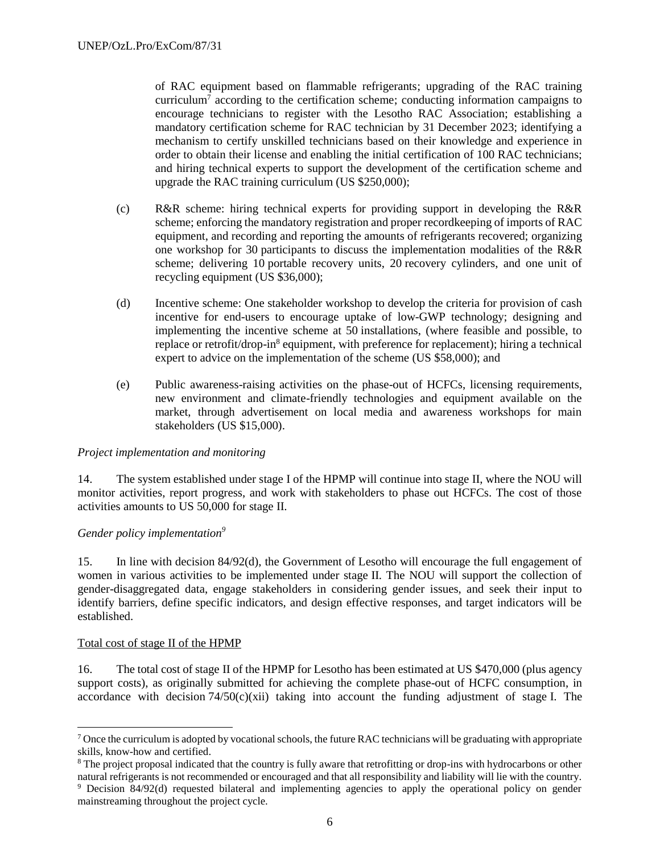of RAC equipment based on flammable refrigerants; upgrading of the RAC training curriculum<sup>7</sup> according to the certification scheme; conducting information campaigns to encourage technicians to register with the Lesotho RAC Association; establishing a mandatory certification scheme for RAC technician by 31 December 2023; identifying a mechanism to certify unskilled technicians based on their knowledge and experience in order to obtain their license and enabling the initial certification of 100 RAC technicians; and hiring technical experts to support the development of the certification scheme and upgrade the RAC training curriculum (US \$250,000);

- (c) R&R scheme: hiring technical experts for providing support in developing the R&R scheme; enforcing the mandatory registration and proper recordkeeping of imports of RAC equipment, and recording and reporting the amounts of refrigerants recovered; organizing one workshop for 30 participants to discuss the implementation modalities of the R&R scheme; delivering 10 portable recovery units, 20 recovery cylinders, and one unit of recycling equipment (US \$36,000);
- (d) Incentive scheme: One stakeholder workshop to develop the criteria for provision of cash incentive for end-users to encourage uptake of low-GWP technology; designing and implementing the incentive scheme at 50 installations, (where feasible and possible, to replace or retrofit/drop-in<sup>8</sup> equipment, with preference for replacement); hiring a technical expert to advice on the implementation of the scheme (US \$58,000); and
- (e) Public awareness-raising activities on the phase-out of HCFCs, licensing requirements, new environment and climate-friendly technologies and equipment available on the market, through advertisement on local media and awareness workshops for main stakeholders (US \$15,000).

### *Project implementation and monitoring*

14. The system established under stage I of the HPMP will continue into stage II, where the NOU will monitor activities, report progress, and work with stakeholders to phase out HCFCs. The cost of those activities amounts to US 50,000 for stage II.

### *Gender policy implementation<sup>9</sup>*

15. In line with decision 84/92(d), the Government of Lesotho will encourage the full engagement of women in various activities to be implemented under stage II. The NOU will support the collection of gender-disaggregated data, engage stakeholders in considering gender issues, and seek their input to identify barriers, define specific indicators, and design effective responses, and target indicators will be established.

#### Total cost of stage II of the HPMP

l

16. The total cost of stage II of the HPMP for Lesotho has been estimated at US \$470,000 (plus agency support costs), as originally submitted for achieving the complete phase-out of HCFC consumption, in accordance with decision  $74/50(c)(xii)$  taking into account the funding adjustment of stage I. The

<sup>7</sup> Once the curriculum is adopted by vocational schools, the future RAC technicians will be graduating with appropriate skills, know-how and certified.

<sup>&</sup>lt;sup>8</sup> The project proposal indicated that the country is fully aware that retrofitting or drop-ins with hydrocarbons or other natural refrigerants is not recommended or encouraged and that all responsibility and liability will lie with the country.

<sup>9</sup> Decision 84/92(d) requested bilateral and implementing agencies to apply the operational policy on gender mainstreaming throughout the project cycle.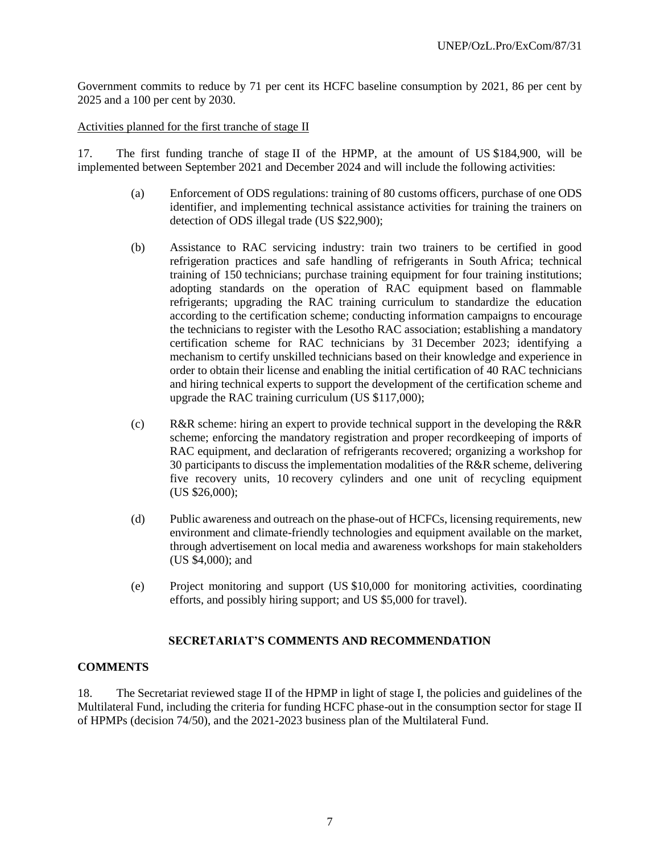Government commits to reduce by 71 per cent its HCFC baseline consumption by 2021, 86 per cent by 2025 and a 100 per cent by 2030.

Activities planned for the first tranche of stage II

17. The first funding tranche of stage II of the HPMP, at the amount of US \$184,900, will be implemented between September 2021 and December 2024 and will include the following activities:

- (a) Enforcement of ODS regulations: training of 80 customs officers, purchase of one ODS identifier, and implementing technical assistance activities for training the trainers on detection of ODS illegal trade (US \$22,900);
- (b) Assistance to RAC servicing industry: train two trainers to be certified in good refrigeration practices and safe handling of refrigerants in South Africa; technical training of 150 technicians; purchase training equipment for four training institutions; adopting standards on the operation of RAC equipment based on flammable refrigerants; upgrading the RAC training curriculum to standardize the education according to the certification scheme; conducting information campaigns to encourage the technicians to register with the Lesotho RAC association; establishing a mandatory certification scheme for RAC technicians by 31 December 2023; identifying a mechanism to certify unskilled technicians based on their knowledge and experience in order to obtain their license and enabling the initial certification of 40 RAC technicians and hiring technical experts to support the development of the certification scheme and upgrade the RAC training curriculum (US \$117,000);
- (c) R&R scheme: hiring an expert to provide technical support in the developing the R&R scheme; enforcing the mandatory registration and proper recordkeeping of imports of RAC equipment, and declaration of refrigerants recovered; organizing a workshop for 30 participants to discuss the implementation modalities of the R&R scheme, delivering five recovery units, 10 recovery cylinders and one unit of recycling equipment (US \$26,000);
- (d) Public awareness and outreach on the phase-out of HCFCs, licensing requirements, new environment and climate-friendly technologies and equipment available on the market, through advertisement on local media and awareness workshops for main stakeholders (US \$4,000); and
- (e) Project monitoring and support (US \$10,000 for monitoring activities, coordinating efforts, and possibly hiring support; and US \$5,000 for travel).

### **SECRETARIAT'S COMMENTS AND RECOMMENDATION**

### **COMMENTS**

18. The Secretariat reviewed stage II of the HPMP in light of stage I, the policies and guidelines of the Multilateral Fund, including the criteria for funding HCFC phase-out in the consumption sector for stage II of HPMPs (decision 74/50), and the 2021-2023 business plan of the Multilateral Fund.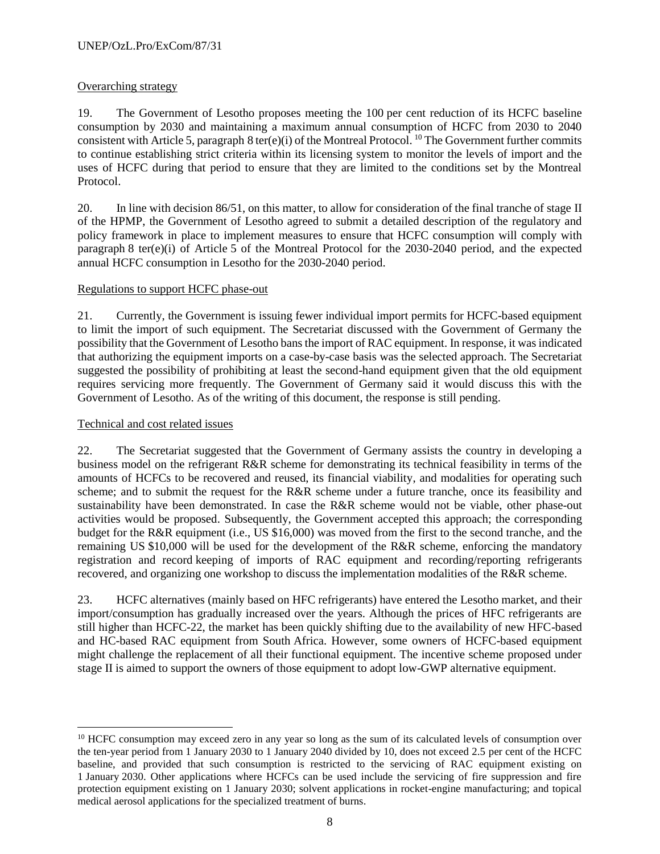### Overarching strategy

19. The Government of Lesotho proposes meeting the 100 per cent reduction of its HCFC baseline consumption by 2030 and maintaining a maximum annual consumption of HCFC from 2030 to 2040 consistent with Article 5, paragraph 8 ter(e)(i) of the Montreal Protocol. <sup>10</sup> The Government further commits to continue establishing strict criteria within its licensing system to monitor the levels of import and the uses of HCFC during that period to ensure that they are limited to the conditions set by the Montreal Protocol.

20. In line with decision 86/51, on this matter, to allow for consideration of the final tranche of stage II of the HPMP, the Government of Lesotho agreed to submit a detailed description of the regulatory and policy framework in place to implement measures to ensure that HCFC consumption will comply with paragraph 8 ter(e)(i) of Article 5 of the Montreal Protocol for the 2030-2040 period, and the expected annual HCFC consumption in Lesotho for the 2030-2040 period.

### Regulations to support HCFC phase-out

21. Currently, the Government is issuing fewer individual import permits for HCFC-based equipment to limit the import of such equipment. The Secretariat discussed with the Government of Germany the possibility that the Government of Lesotho bans the import of RAC equipment. In response, it was indicated that authorizing the equipment imports on a case-by-case basis was the selected approach. The Secretariat suggested the possibility of prohibiting at least the second-hand equipment given that the old equipment requires servicing more frequently. The Government of Germany said it would discuss this with the Government of Lesotho. As of the writing of this document, the response is still pending.

### Technical and cost related issues

l

22. The Secretariat suggested that the Government of Germany assists the country in developing a business model on the refrigerant R&R scheme for demonstrating its technical feasibility in terms of the amounts of HCFCs to be recovered and reused, its financial viability, and modalities for operating such scheme; and to submit the request for the R&R scheme under a future tranche, once its feasibility and sustainability have been demonstrated. In case the R&R scheme would not be viable, other phase-out activities would be proposed. Subsequently, the Government accepted this approach; the corresponding budget for the R&R equipment (i.e., US \$16,000) was moved from the first to the second tranche, and the remaining US \$10,000 will be used for the development of the R&R scheme, enforcing the mandatory registration and record keeping of imports of RAC equipment and recording/reporting refrigerants recovered, and organizing one workshop to discuss the implementation modalities of the R&R scheme.

23. HCFC alternatives (mainly based on HFC refrigerants) have entered the Lesotho market, and their import/consumption has gradually increased over the years. Although the prices of HFC refrigerants are still higher than HCFC-22, the market has been quickly shifting due to the availability of new HFC-based and HC-based RAC equipment from South Africa. However, some owners of HCFC-based equipment might challenge the replacement of all their functional equipment. The incentive scheme proposed under stage II is aimed to support the owners of those equipment to adopt low-GWP alternative equipment.

<sup>&</sup>lt;sup>10</sup> HCFC consumption may exceed zero in any year so long as the sum of its calculated levels of consumption over the ten-year period from 1 January 2030 to 1 January 2040 divided by 10, does not exceed 2.5 per cent of the HCFC baseline, and provided that such consumption is restricted to the servicing of RAC equipment existing on 1 January 2030. Other applications where HCFCs can be used include the servicing of fire suppression and fire protection equipment existing on 1 January 2030; solvent applications in rocket-engine manufacturing; and topical medical aerosol applications for the specialized treatment of burns.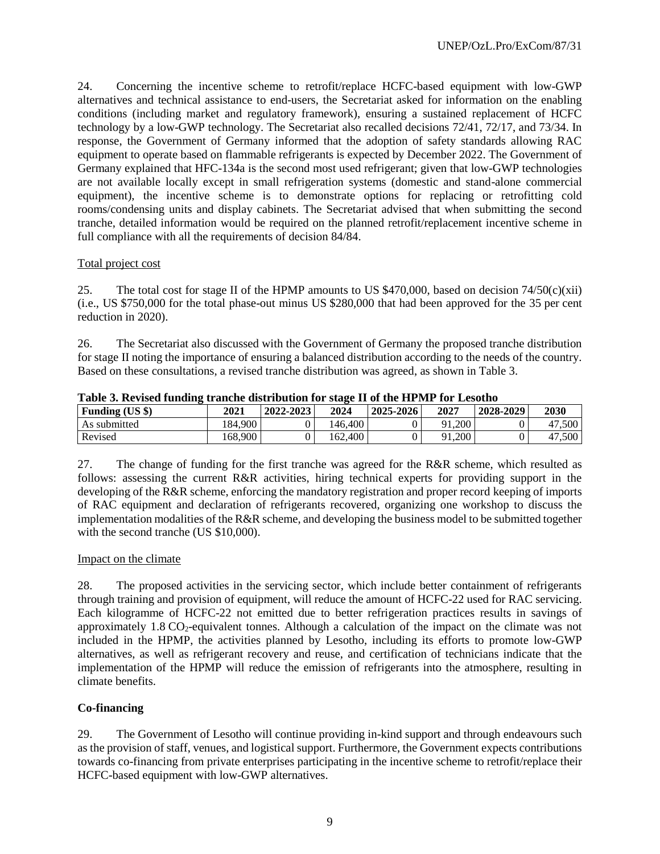24. Concerning the incentive scheme to retrofit/replace HCFC-based equipment with low-GWP alternatives and technical assistance to end-users, the Secretariat asked for information on the enabling conditions (including market and regulatory framework), ensuring a sustained replacement of HCFC technology by a low-GWP technology. The Secretariat also recalled decisions 72/41, 72/17, and 73/34. In response, the Government of Germany informed that the adoption of safety standards allowing RAC equipment to operate based on flammable refrigerants is expected by December 2022. The Government of Germany explained that HFC-134a is the second most used refrigerant; given that low-GWP technologies are not available locally except in small refrigeration systems (domestic and stand-alone commercial equipment), the incentive scheme is to demonstrate options for replacing or retrofitting cold rooms/condensing units and display cabinets. The Secretariat advised that when submitting the second tranche, detailed information would be required on the planned retrofit/replacement incentive scheme in full compliance with all the requirements of decision 84/84.

### Total project cost

25. The total cost for stage II of the HPMP amounts to US \$470,000, based on decision  $74/50(c)(xii)$ (i.e., US \$750,000 for the total phase-out minus US \$280,000 that had been approved for the 35 per cent reduction in 2020).

26. The Secretariat also discussed with the Government of Germany the proposed tranche distribution for stage II noting the importance of ensuring a balanced distribution according to the needs of the country. Based on these consultations, a revised tranche distribution was agreed, as shown in Table 3.

| Funding (US \$) | 2021    | 2022-2023 | 2024    | 2025-2026 | 2027   | 2028-2029 | 2030   |
|-----------------|---------|-----------|---------|-----------|--------|-----------|--------|
| As submitted    | 184.900 |           | 146,400 |           | 91.200 |           | 47.500 |
| Revised         | 168,900 |           | 162.400 |           | 91,200 |           | 47,500 |

**Table 3. Revised funding tranche distribution for stage II of the HPMP for Lesotho**

27. The change of funding for the first tranche was agreed for the R&R scheme, which resulted as follows: assessing the current R&R activities, hiring technical experts for providing support in the developing of the R&R scheme, enforcing the mandatory registration and proper record keeping of imports of RAC equipment and declaration of refrigerants recovered, organizing one workshop to discuss the implementation modalities of the R&R scheme, and developing the business model to be submitted together with the second tranche (US \$10,000).

### Impact on the climate

28. The proposed activities in the servicing sector, which include better containment of refrigerants through training and provision of equipment, will reduce the amount of HCFC-22 used for RAC servicing. Each kilogramme of HCFC-22 not emitted due to better refrigeration practices results in savings of approximately  $1.8 \text{ CO}_2$ -equivalent tonnes. Although a calculation of the impact on the climate was not included in the HPMP, the activities planned by Lesotho, including its efforts to promote low-GWP alternatives, as well as refrigerant recovery and reuse, and certification of technicians indicate that the implementation of the HPMP will reduce the emission of refrigerants into the atmosphere, resulting in climate benefits.

### **Co-financing**

29. The Government of Lesotho will continue providing in-kind support and through endeavours such as the provision of staff, venues, and logistical support. Furthermore, the Government expects contributions towards co-financing from private enterprises participating in the incentive scheme to retrofit/replace their HCFC-based equipment with low-GWP alternatives.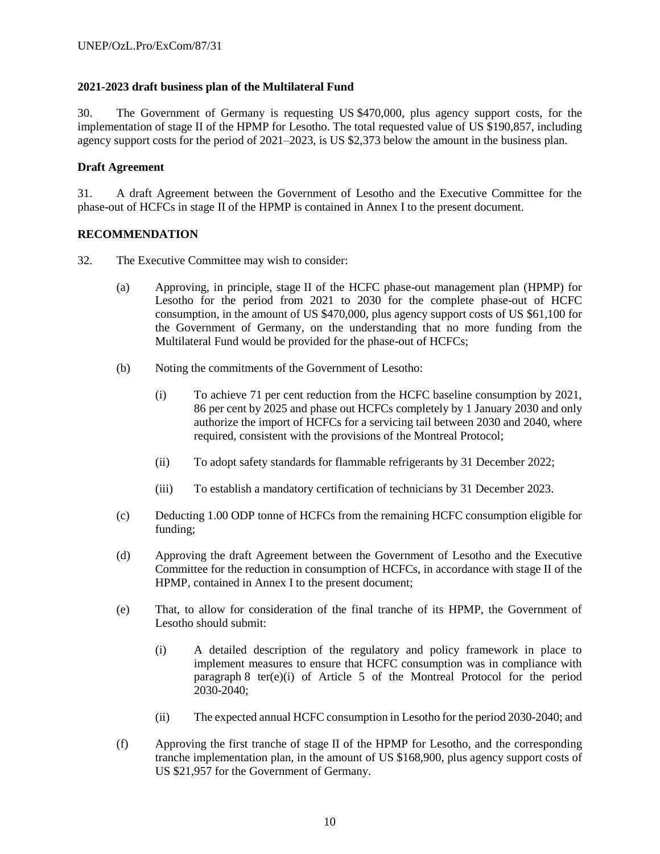### **2021-2023 draft business plan of the Multilateral Fund**

30. The Government of Germany is requesting US \$470,000, plus agency support costs, for the implementation of stage II of the HPMP for Lesotho. The total requested value of US \$190,857, including agency support costs for the period of 2021–2023, is US \$2,373 below the amount in the business plan.

### **Draft Agreement**

31. A draft Agreement between the Government of Lesotho and the Executive Committee for the phase-out of HCFCs in stage II of the HPMP is contained in Annex I to the present document.

### **RECOMMENDATION**

- 32. The Executive Committee may wish to consider:
	- (a) Approving, in principle, stage II of the HCFC phase-out management plan (HPMP) for Lesotho for the period from 2021 to 2030 for the complete phase-out of HCFC consumption, in the amount of US \$470,000, plus agency support costs of US \$61,100 for the Government of Germany, on the understanding that no more funding from the Multilateral Fund would be provided for the phase-out of HCFCs;
	- (b) Noting the commitments of the Government of Lesotho:
		- (i) To achieve 71 per cent reduction from the HCFC baseline consumption by 2021, 86 per cent by 2025 and phase out HCFCs completely by 1 January 2030 and only authorize the import of HCFCs for a servicing tail between 2030 and 2040, where required, consistent with the provisions of the Montreal Protocol;
		- (ii) To adopt safety standards for flammable refrigerants by 31 December 2022;
		- (iii) To establish a mandatory certification of technicians by 31 December 2023.
	- (c) Deducting 1.00 ODP tonne of HCFCs from the remaining HCFC consumption eligible for funding;
	- (d) Approving the draft Agreement between the Government of Lesotho and the Executive Committee for the reduction in consumption of HCFCs, in accordance with stage II of the HPMP, contained in Annex I to the present document;
	- (e) That, to allow for consideration of the final tranche of its HPMP, the Government of Lesotho should submit:
		- (i) A detailed description of the regulatory and policy framework in place to implement measures to ensure that HCFC consumption was in compliance with paragraph 8 ter(e)(i) of Article 5 of the Montreal Protocol for the period 2030-2040;
		- (ii) The expected annual HCFC consumption in Lesotho for the period 2030-2040; and
	- (f) Approving the first tranche of stage II of the HPMP for Lesotho, and the corresponding tranche implementation plan, in the amount of US \$168,900, plus agency support costs of US \$21,957 for the Government of Germany.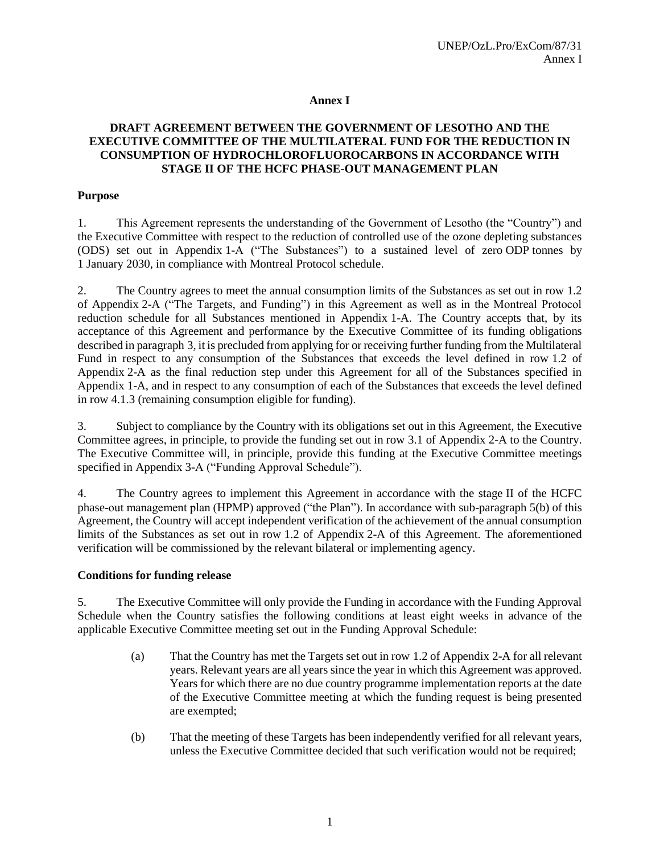### **Annex I**

### **DRAFT AGREEMENT BETWEEN THE GOVERNMENT OF LESOTHO AND THE EXECUTIVE COMMITTEE OF THE MULTILATERAL FUND FOR THE REDUCTION IN CONSUMPTION OF HYDROCHLOROFLUOROCARBONS IN ACCORDANCE WITH STAGE II OF THE HCFC PHASE-OUT MANAGEMENT PLAN**

### **Purpose**

1. This Agreement represents the understanding of the Government of Lesotho (the "Country") and the Executive Committee with respect to the reduction of controlled use of the ozone depleting substances (ODS) set out in Appendix 1-A ("The Substances") to a sustained level of zero ODP tonnes by 1 January 2030, in compliance with Montreal Protocol schedule.

2. The Country agrees to meet the annual consumption limits of the Substances as set out in row 1.2 of Appendix 2-A ("The Targets, and Funding") in this Agreement as well as in the Montreal Protocol reduction schedule for all Substances mentioned in Appendix 1-A. The Country accepts that, by its acceptance of this Agreement and performance by the Executive Committee of its funding obligations described in paragraph 3, it is precluded from applying for or receiving further funding from the Multilateral Fund in respect to any consumption of the Substances that exceeds the level defined in row 1.2 of Appendix 2-A as the final reduction step under this Agreement for all of the Substances specified in Appendix 1-A, and in respect to any consumption of each of the Substances that exceeds the level defined in row 4.1.3 (remaining consumption eligible for funding).

3. Subject to compliance by the Country with its obligations set out in this Agreement, the Executive Committee agrees, in principle, to provide the funding set out in row 3.1 of Appendix 2-A to the Country. The Executive Committee will, in principle, provide this funding at the Executive Committee meetings specified in Appendix 3-A ("Funding Approval Schedule").

4. The Country agrees to implement this Agreement in accordance with the stage II of the HCFC phase-out management plan (HPMP) approved ("the Plan"). In accordance with sub-paragraph 5(b) of this Agreement, the Country will accept independent verification of the achievement of the annual consumption limits of the Substances as set out in row 1.2 of Appendix 2-A of this Agreement. The aforementioned verification will be commissioned by the relevant bilateral or implementing agency.

### **Conditions for funding release**

5. The Executive Committee will only provide the Funding in accordance with the Funding Approval Schedule when the Country satisfies the following conditions at least eight weeks in advance of the applicable Executive Committee meeting set out in the Funding Approval Schedule:

- (a) That the Country has met the Targets set out in row 1.2 of Appendix 2-A for all relevant years. Relevant years are all years since the year in which this Agreement was approved. Years for which there are no due country programme implementation reports at the date of the Executive Committee meeting at which the funding request is being presented are exempted;
- (b) That the meeting of these Targets has been independently verified for all relevant years, unless the Executive Committee decided that such verification would not be required;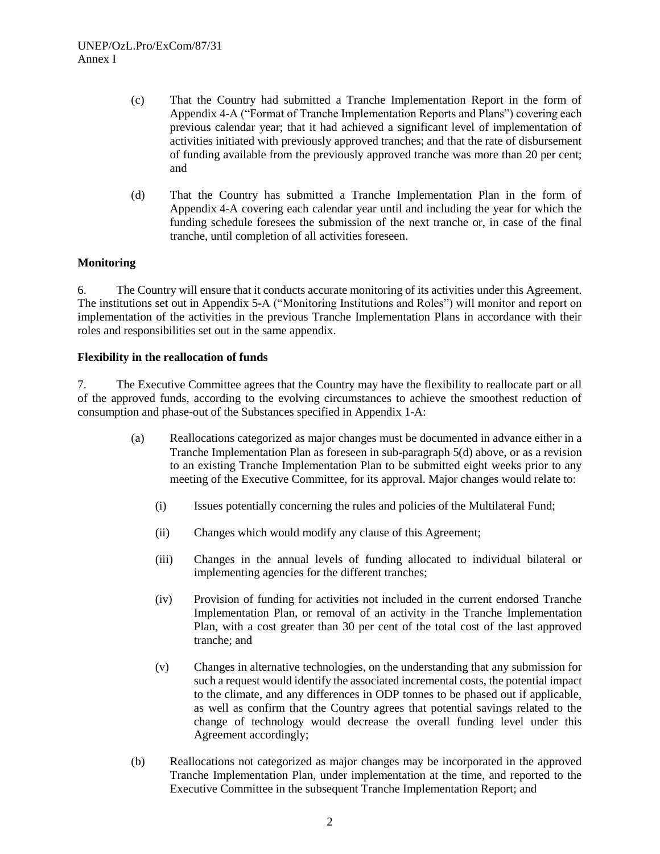- (c) That the Country had submitted a Tranche Implementation Report in the form of Appendix 4-A ("Format of Tranche Implementation Reports and Plans") covering each previous calendar year; that it had achieved a significant level of implementation of activities initiated with previously approved tranches; and that the rate of disbursement of funding available from the previously approved tranche was more than 20 per cent; and
- (d) That the Country has submitted a Tranche Implementation Plan in the form of Appendix 4-A covering each calendar year until and including the year for which the funding schedule foresees the submission of the next tranche or, in case of the final tranche, until completion of all activities foreseen.

### **Monitoring**

6. The Country will ensure that it conducts accurate monitoring of its activities under this Agreement. The institutions set out in Appendix 5-A ("Monitoring Institutions and Roles") will monitor and report on implementation of the activities in the previous Tranche Implementation Plans in accordance with their roles and responsibilities set out in the same appendix.

### **Flexibility in the reallocation of funds**

7. The Executive Committee agrees that the Country may have the flexibility to reallocate part or all of the approved funds, according to the evolving circumstances to achieve the smoothest reduction of consumption and phase-out of the Substances specified in Appendix 1-A:

- (a) Reallocations categorized as major changes must be documented in advance either in a Tranche Implementation Plan as foreseen in sub-paragraph 5(d) above, or as a revision to an existing Tranche Implementation Plan to be submitted eight weeks prior to any meeting of the Executive Committee, for its approval. Major changes would relate to:
	- (i) Issues potentially concerning the rules and policies of the Multilateral Fund;
	- (ii) Changes which would modify any clause of this Agreement;
	- (iii) Changes in the annual levels of funding allocated to individual bilateral or implementing agencies for the different tranches;
	- (iv) Provision of funding for activities not included in the current endorsed Tranche Implementation Plan, or removal of an activity in the Tranche Implementation Plan, with a cost greater than 30 per cent of the total cost of the last approved tranche; and
	- (v) Changes in alternative technologies, on the understanding that any submission for such a request would identify the associated incremental costs, the potential impact to the climate, and any differences in ODP tonnes to be phased out if applicable, as well as confirm that the Country agrees that potential savings related to the change of technology would decrease the overall funding level under this Agreement accordingly;
- (b) Reallocations not categorized as major changes may be incorporated in the approved Tranche Implementation Plan, under implementation at the time, and reported to the Executive Committee in the subsequent Tranche Implementation Report; and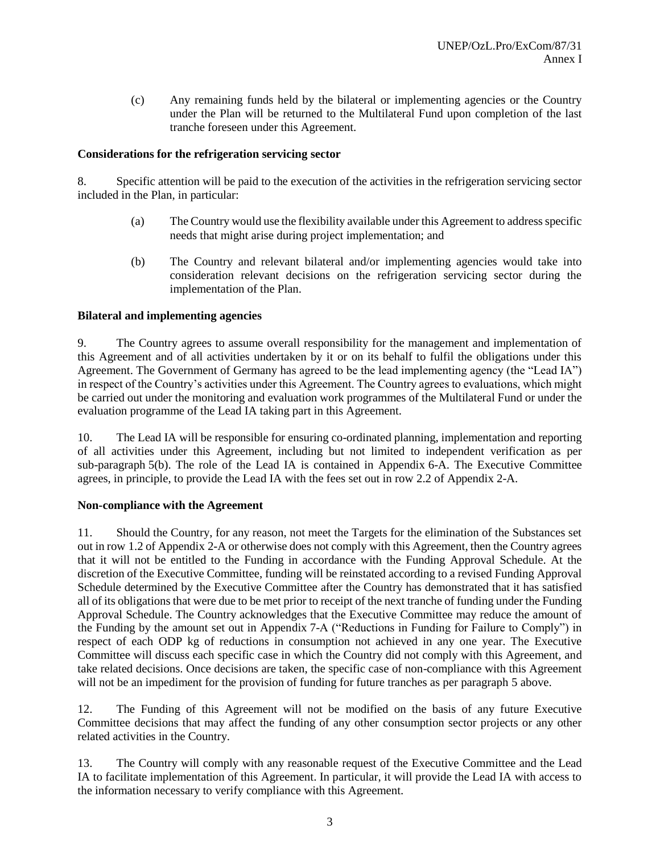(c) Any remaining funds held by the bilateral or implementing agencies or the Country under the Plan will be returned to the Multilateral Fund upon completion of the last tranche foreseen under this Agreement.

### **Considerations for the refrigeration servicing sector**

8. Specific attention will be paid to the execution of the activities in the refrigeration servicing sector included in the Plan, in particular:

- (a) The Country would use the flexibility available under this Agreement to address specific needs that might arise during project implementation; and
- (b) The Country and relevant bilateral and/or implementing agencies would take into consideration relevant decisions on the refrigeration servicing sector during the implementation of the Plan.

### **Bilateral and implementing agencies**

9. The Country agrees to assume overall responsibility for the management and implementation of this Agreement and of all activities undertaken by it or on its behalf to fulfil the obligations under this Agreement. The Government of Germany has agreed to be the lead implementing agency (the "Lead IA") in respect of the Country's activities under this Agreement. The Country agrees to evaluations, which might be carried out under the monitoring and evaluation work programmes of the Multilateral Fund or under the evaluation programme of the Lead IA taking part in this Agreement.

10. The Lead IA will be responsible for ensuring co-ordinated planning, implementation and reporting of all activities under this Agreement, including but not limited to independent verification as per sub-paragraph 5(b). The role of the Lead IA is contained in Appendix 6-A. The Executive Committee agrees, in principle, to provide the Lead IA with the fees set out in row 2.2 of Appendix 2-A.

### **Non-compliance with the Agreement**

11. Should the Country, for any reason, not meet the Targets for the elimination of the Substances set out in row 1.2 of Appendix 2-A or otherwise does not comply with this Agreement, then the Country agrees that it will not be entitled to the Funding in accordance with the Funding Approval Schedule. At the discretion of the Executive Committee, funding will be reinstated according to a revised Funding Approval Schedule determined by the Executive Committee after the Country has demonstrated that it has satisfied all of its obligations that were due to be met prior to receipt of the next tranche of funding under the Funding Approval Schedule. The Country acknowledges that the Executive Committee may reduce the amount of the Funding by the amount set out in Appendix 7-A ("Reductions in Funding for Failure to Comply") in respect of each ODP kg of reductions in consumption not achieved in any one year. The Executive Committee will discuss each specific case in which the Country did not comply with this Agreement, and take related decisions. Once decisions are taken, the specific case of non-compliance with this Agreement will not be an impediment for the provision of funding for future tranches as per paragraph 5 above.

12. The Funding of this Agreement will not be modified on the basis of any future Executive Committee decisions that may affect the funding of any other consumption sector projects or any other related activities in the Country.

13. The Country will comply with any reasonable request of the Executive Committee and the Lead IA to facilitate implementation of this Agreement. In particular, it will provide the Lead IA with access to the information necessary to verify compliance with this Agreement.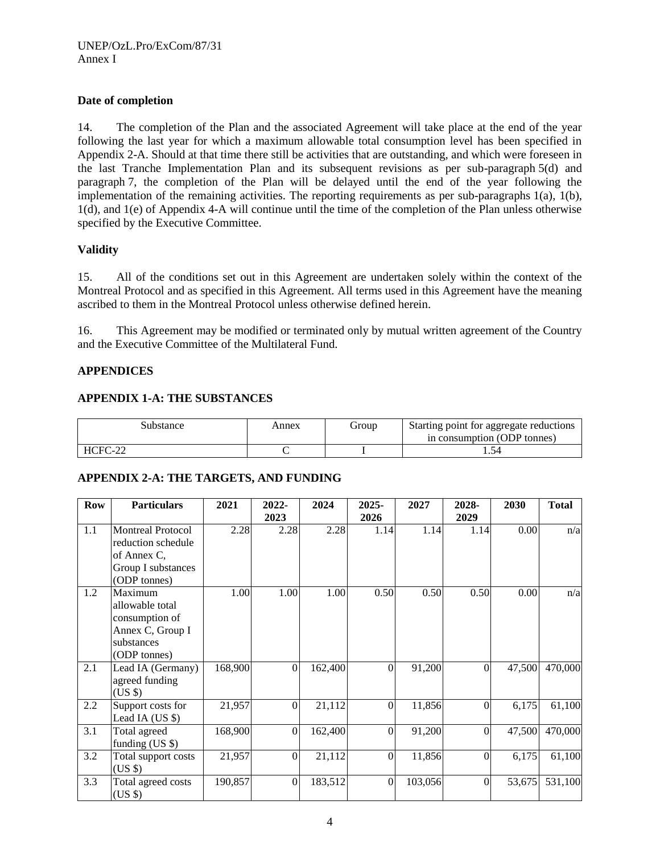### **Date of completion**

14. The completion of the Plan and the associated Agreement will take place at the end of the year following the last year for which a maximum allowable total consumption level has been specified in Appendix 2-A. Should at that time there still be activities that are outstanding, and which were foreseen in the last Tranche Implementation Plan and its subsequent revisions as per sub-paragraph 5(d) and paragraph 7, the completion of the Plan will be delayed until the end of the year following the implementation of the remaining activities. The reporting requirements as per sub-paragraphs 1(a), 1(b), 1(d), and 1(e) of Appendix 4-A will continue until the time of the completion of the Plan unless otherwise specified by the Executive Committee.

### **Validity**

15. All of the conditions set out in this Agreement are undertaken solely within the context of the Montreal Protocol and as specified in this Agreement. All terms used in this Agreement have the meaning ascribed to them in the Montreal Protocol unless otherwise defined herein.

16. This Agreement may be modified or terminated only by mutual written agreement of the Country and the Executive Committee of the Multilateral Fund.

### **APPENDICES**

### **APPENDIX 1-A: THE SUBSTANCES**

| Substance             | Annex | Group | Starting point for aggregate reductions<br>in consumption (ODP tonnes) |
|-----------------------|-------|-------|------------------------------------------------------------------------|
| <b>HCFC</b><br>$\cap$ |       |       |                                                                        |

### **APPENDIX 2-A: THE TARGETS, AND FUNDING**

| <b>Row</b> | <b>Particulars</b>                                                                                  | 2021    | 2022-<br>2023    | 2024    | 2025-<br>2026 | 2027    | 2028-<br>2029    | 2030   | <b>Total</b> |
|------------|-----------------------------------------------------------------------------------------------------|---------|------------------|---------|---------------|---------|------------------|--------|--------------|
| 1.1        | <b>Montreal Protocol</b><br>reduction schedule<br>of Annex C.<br>Group I substances<br>(ODP tonnes) | 2.28    | 2.28             | 2.28    | 1.14          | 1.14    | 1.14             | 0.00   | n/a          |
| 1.2        | Maximum<br>allowable total<br>consumption of<br>Annex C, Group I<br>substances<br>(ODP tonnes)      | 1.00    | 1.00             | 1.00    | 0.50          | 0.50    | 0.50             | 0.00   | n/a          |
| 2.1        | Lead IA (Germany)<br>agreed funding<br>$(US \$                                                      | 168,900 | $\overline{0}$   | 162,400 | $\mathbf{0}$  | 91,200  | $\boldsymbol{0}$ | 47,500 | 470,000      |
| 2.2        | Support costs for<br>Lead IA (US \$)                                                                | 21,957  | $\Omega$         | 21,112  | $\theta$      | 11,856  | $\theta$         | 6,175  | 61,100       |
| 3.1        | Total agreed<br>funding $(US \$                                                                     | 168,900 | $\mathbf{0}$     | 162,400 | $\mathbf{0}$  | 91,200  | $\mathbf{0}$     | 47,500 | 470,000      |
| 3.2        | Total support costs<br>$(US \$                                                                      | 21,957  | $\boldsymbol{0}$ | 21,112  | $\mathbf{0}$  | 11,856  | $\theta$         | 6,175  | 61,100       |
| 3.3        | Total agreed costs<br>$(US \$                                                                       | 190,857 | $\boldsymbol{0}$ | 183,512 | $\mathbf{0}$  | 103,056 | $\boldsymbol{0}$ | 53,675 | 531,100      |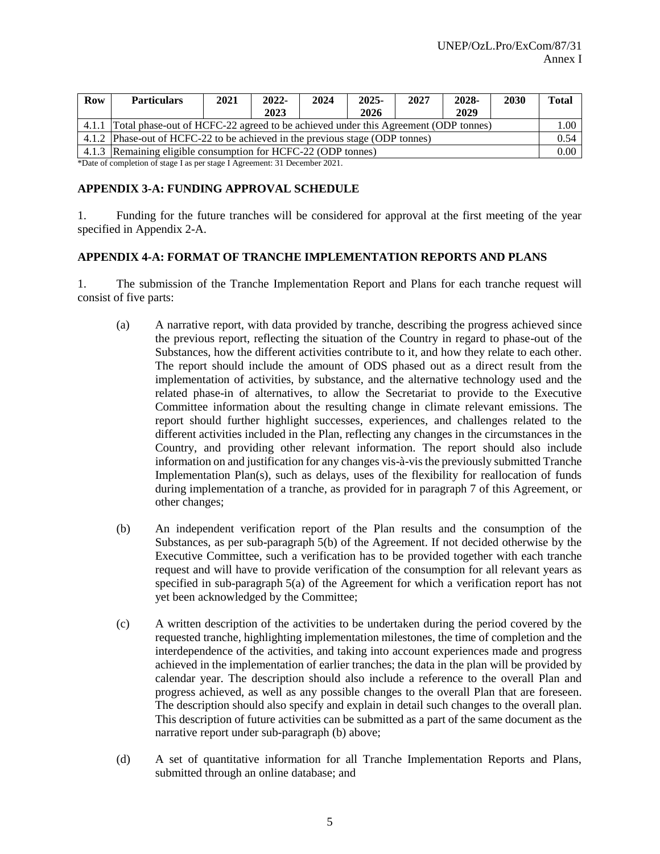| <b>Row</b> | <b>Particulars</b>                                                                       | 2021 | $2022 -$ | 2024 | $2025 -$ | 2027 | 2028- | 2030 | <b>Total</b> |
|------------|------------------------------------------------------------------------------------------|------|----------|------|----------|------|-------|------|--------------|
|            |                                                                                          |      | 2023     |      | 2026     |      | 2029  |      |              |
|            | 4.1.1 Total phase-out of HCFC-22 agreed to be achieved under this Agreement (ODP tonnes) |      |          |      |          |      |       |      | 1.00         |
|            | 4.1.2 Phase-out of HCFC-22 to be achieved in the previous stage (ODP tonnes)             |      |          |      |          |      |       |      | 0.54         |
|            | 4.1.3 Remaining eligible consumption for HCFC-22 (ODP tonnes)                            |      |          |      |          |      |       |      | 0.00         |

\*Date of completion of stage I as per stage I Agreement: 31 December 2021.

#### **APPENDIX 3-A: FUNDING APPROVAL SCHEDULE**

1. Funding for the future tranches will be considered for approval at the first meeting of the year specified in Appendix 2-A.

#### **APPENDIX 4-A: FORMAT OF TRANCHE IMPLEMENTATION REPORTS AND PLANS**

1. The submission of the Tranche Implementation Report and Plans for each tranche request will consist of five parts:

- (a) A narrative report, with data provided by tranche, describing the progress achieved since the previous report, reflecting the situation of the Country in regard to phase-out of the Substances, how the different activities contribute to it, and how they relate to each other. The report should include the amount of ODS phased out as a direct result from the implementation of activities, by substance, and the alternative technology used and the related phase-in of alternatives, to allow the Secretariat to provide to the Executive Committee information about the resulting change in climate relevant emissions. The report should further highlight successes, experiences, and challenges related to the different activities included in the Plan, reflecting any changes in the circumstances in the Country, and providing other relevant information. The report should also include information on and justification for any changes vis-à-vis the previously submitted Tranche Implementation Plan(s), such as delays, uses of the flexibility for reallocation of funds during implementation of a tranche, as provided for in paragraph 7 of this Agreement, or other changes;
- (b) An independent verification report of the Plan results and the consumption of the Substances, as per sub-paragraph 5(b) of the Agreement. If not decided otherwise by the Executive Committee, such a verification has to be provided together with each tranche request and will have to provide verification of the consumption for all relevant years as specified in sub-paragraph 5(a) of the Agreement for which a verification report has not yet been acknowledged by the Committee;
- (c) A written description of the activities to be undertaken during the period covered by the requested tranche, highlighting implementation milestones, the time of completion and the interdependence of the activities, and taking into account experiences made and progress achieved in the implementation of earlier tranches; the data in the plan will be provided by calendar year. The description should also include a reference to the overall Plan and progress achieved, as well as any possible changes to the overall Plan that are foreseen. The description should also specify and explain in detail such changes to the overall plan. This description of future activities can be submitted as a part of the same document as the narrative report under sub-paragraph (b) above;
- (d) A set of quantitative information for all Tranche Implementation Reports and Plans, submitted through an online database; and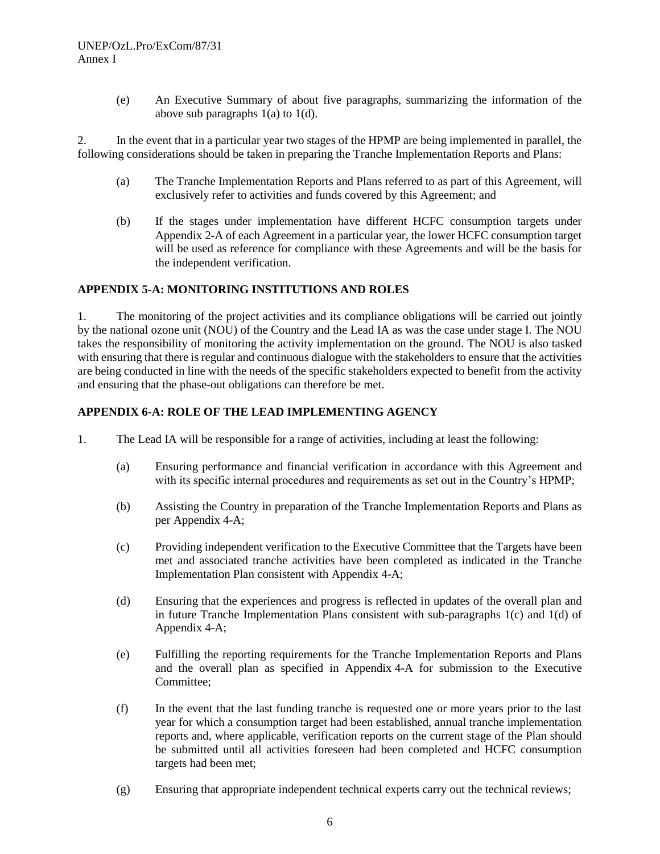(e) An Executive Summary of about five paragraphs, summarizing the information of the above sub paragraphs  $1(a)$  to  $1(d)$ .

2. In the event that in a particular year two stages of the HPMP are being implemented in parallel, the following considerations should be taken in preparing the Tranche Implementation Reports and Plans:

- (a) The Tranche Implementation Reports and Plans referred to as part of this Agreement, will exclusively refer to activities and funds covered by this Agreement; and
- (b) If the stages under implementation have different HCFC consumption targets under Appendix 2-A of each Agreement in a particular year, the lower HCFC consumption target will be used as reference for compliance with these Agreements and will be the basis for the independent verification.

#### **APPENDIX 5-A: MONITORING INSTITUTIONS AND ROLES**

1. The monitoring of the project activities and its compliance obligations will be carried out jointly by the national ozone unit (NOU) of the Country and the Lead IA as was the case under stage I. The NOU takes the responsibility of monitoring the activity implementation on the ground. The NOU is also tasked with ensuring that there is regular and continuous dialogue with the stakeholders to ensure that the activities are being conducted in line with the needs of the specific stakeholders expected to benefit from the activity and ensuring that the phase-out obligations can therefore be met.

### **APPENDIX 6-A: ROLE OF THE LEAD IMPLEMENTING AGENCY**

- 1. The Lead IA will be responsible for a range of activities, including at least the following:
	- (a) Ensuring performance and financial verification in accordance with this Agreement and with its specific internal procedures and requirements as set out in the Country's HPMP;
	- (b) Assisting the Country in preparation of the Tranche Implementation Reports and Plans as per Appendix 4-A;
	- (c) Providing independent verification to the Executive Committee that the Targets have been met and associated tranche activities have been completed as indicated in the Tranche Implementation Plan consistent with Appendix 4-A;
	- (d) Ensuring that the experiences and progress is reflected in updates of the overall plan and in future Tranche Implementation Plans consistent with sub-paragraphs  $1(c)$  and  $1(d)$  of Appendix 4-A;
	- (e) Fulfilling the reporting requirements for the Tranche Implementation Reports and Plans and the overall plan as specified in Appendix 4-A for submission to the Executive Committee;
	- (f) In the event that the last funding tranche is requested one or more years prior to the last year for which a consumption target had been established, annual tranche implementation reports and, where applicable, verification reports on the current stage of the Plan should be submitted until all activities foreseen had been completed and HCFC consumption targets had been met;
	- (g) Ensuring that appropriate independent technical experts carry out the technical reviews;